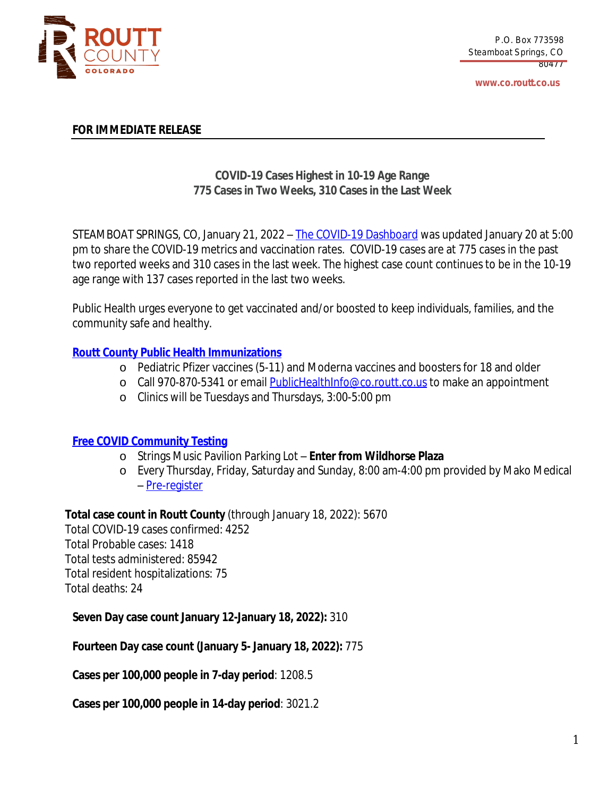

**www.co.routt.co.us**

## **FOR IMMEDIATE RELEASE**

# **COVID-19 Cases Highest in 10-19 Age Range 775 Cases in Two Weeks, 310 Cases in the Last Week**

STEAMBOAT SPRINGS, CO, January 21, 2022 – The COVID-19 [Dashboard](https://routtco-publichealth.shinyapps.io/COVID19-Dashboard/) was [updated](https://routtco-publichealth.shinyapps.io/COVID19-Dashboard/) [January](https://routtco-publichealth.shinyapps.io/COVID19-Dashboard/) [20](https://routtco-publichealth.shinyapps.io/COVID19-Dashboard/) [at](https://routtco-publichealth.shinyapps.io/COVID19-Dashboard/) [5:00](https://routtco-publichealth.shinyapps.io/COVID19-Dashboard/) [pm](https://routtco-publichealth.shinyapps.io/COVID19-Dashboard/) to [share](https://routtco-publichealth.shinyapps.io/COVID19-Dashboard/) [the](https://routtco-publichealth.shinyapps.io/COVID19-Dashboard/) COVID-19 m[e](https://routtco-publichealth.shinyapps.io/COVID19-Dashboard/)trics and [vaccination](https://routtco-publichealth.shinyapps.io/COVID19-Dashboard/) [ra](https://routtco-publichealth.shinyapps.io/COVID19-Dashboard/)te[s.](https://routtco-publichealth.shinyapps.io/COVID19-Dashboard/) [COVID-19](https://routtco-publichealth.shinyapps.io/COVID19-Dashboard/) cases are [at](https://routtco-publichealth.shinyapps.io/COVID19-Dashboard/) [775](https://routtco-publichealth.shinyapps.io/COVID19-Dashboard/) [cases](https://routtco-publichealth.shinyapps.io/COVID19-Dashboard/) in [the](https://routtco-publichealth.shinyapps.io/COVID19-Dashboard/) [past](https://routtco-publichealth.shinyapps.io/COVID19-Dashboard/) two [reported](https://routtco-publichealth.shinyapps.io/COVID19-Dashboard/) week[s](https://routtco-publichealth.shinyapps.io/COVID19-Dashboard/) [and](https://routtco-publichealth.shinyapps.io/COVID19-Dashboard/) [310](https://routtco-publichealth.shinyapps.io/COVID19-Dashboard/) cases in the last [week.](https://routtco-publichealth.shinyapps.io/COVID19-Dashboard/) [The](https://routtco-publichealth.shinyapps.io/COVID19-Dashboard/) h[ighest](https://routtco-publichealth.shinyapps.io/COVID19-Dashboard/) case coun[t](https://routtco-publichealth.shinyapps.io/COVID19-Dashboard/) [continues](https://routtco-publichealth.shinyapps.io/COVID19-Dashboard/) to be in the [10-19](https://routtco-publichealth.shinyapps.io/COVID19-Dashboard/) age [range](https://routtco-publichealth.shinyapps.io/COVID19-Dashboard/) with 1[37](https://routtco-publichealth.shinyapps.io/COVID19-Dashboard/) cases [reported](https://routtco-publichealth.shinyapps.io/COVID19-Dashboard/) in the last two weeks.

Public Health urges everyone to get vaccinated and/or boosted to keep [individuals,](https://routtco-publichealth.shinyapps.io/COVID19-Dashboard/) families, and the [community](https://routtco-publichealth.shinyapps.io/COVID19-Dashboard/) safe and healthy.

# **Routt County Public Health [Immunizations](https://www.covid19routtcounty.com/vaccine-information)**

- o Pediatric Pfizer vaccines (5-11) and Moderna vaccines and boosters for 18 and older
- o Call 970-870-5341 or email [PublicHealthInfo@co.routt.co.us](mailto:PublicHealthInfo@co.routt.co.us) to make an appointment
- o Clinics will be Tuesdays and Thursdays, 3:00-5:00 pm

## **Free COVID [Community](https://www.covid19routtcounty.com/get-tested-for-covid19) Testing**

- o Strings Music Pavilion Parking Lot **Enter from Wildhorse Plaza**
- o Every Thursday, Friday, Saturday and Sunday, 8:00 am-4:00 pm provided by Mako Medical – [Pre-register](https://mako.exchange/scheduler/registration/?location=5922)

**Total case count in Routt [County](https://mako.exchange/scheduler/registration/?location=5922)** [\(through](https://mako.exchange/scheduler/registration/?location=5922) [January](https://mako.exchange/scheduler/registration/?location=5922) [18](https://mako.exchange/scheduler/registration/?location=5922), [2022\):](https://mako.exchange/scheduler/registration/?location=5922) [5670](https://mako.exchange/scheduler/registration/?location=5922)

Total [COVID-19](https://mako.exchange/scheduler/registration/?location=5922) cases [confirmed:](https://mako.exchange/scheduler/registration/?location=5922) [4252](https://mako.exchange/scheduler/registration/?location=5922) Total [Probable](https://mako.exchange/scheduler/registration/?location=5922) cases: [1418](https://mako.exchange/scheduler/registration/?location=5922) Total tests [administered:](https://mako.exchange/scheduler/registration/?location=5922) [85942](https://mako.exchange/scheduler/registration/?location=5922) Total resident [hospitalizations:](https://mako.exchange/scheduler/registration/?location=5922) [75](https://mako.exchange/scheduler/registration/?location=5922) Total [deaths:](https://mako.exchange/scheduler/registration/?location=5922) [24](https://mako.exchange/scheduler/registration/?location=5922)

**[Seven](https://mako.exchange/scheduler/registration/?location=5922) Day case count [January](https://mako.exchange/scheduler/registration/?location=5922) [12-January](https://mako.exchange/scheduler/registration/?location=5922) [18,](https://mako.exchange/scheduler/registration/?location=5922) [2022\):](https://mako.exchange/scheduler/registration/?location=5922)** [310](https://mako.exchange/scheduler/registration/?location=5922)

**[Fourteen](https://mako.exchange/scheduler/registration/?location=5922) Day case [count](https://mako.exchange/scheduler/registration/?location=5922) ([January](https://mako.exchange/scheduler/registration/?location=5922) [5-](https://mako.exchange/scheduler/registration/?location=5922) [January](https://mako.exchange/scheduler/registration/?location=5922) [18](https://mako.exchange/scheduler/registration/?location=5922), [2022\):](https://mako.exchange/scheduler/registration/?location=5922)** [775](https://mako.exchange/scheduler/registration/?location=5922)

**Cases per [100,000](https://mako.exchange/scheduler/registration/?location=5922) people in 7-day period**[:](https://mako.exchange/scheduler/registration/?location=5922) [1208.5](https://mako.exchange/scheduler/registration/?location=5922)

**Cases per [100,000](https://mako.exchange/scheduler/registration/?location=5922) people in 14-day period**[:](https://mako.exchange/scheduler/registration/?location=5922) [3021.2](https://mako.exchange/scheduler/registration/?location=5922)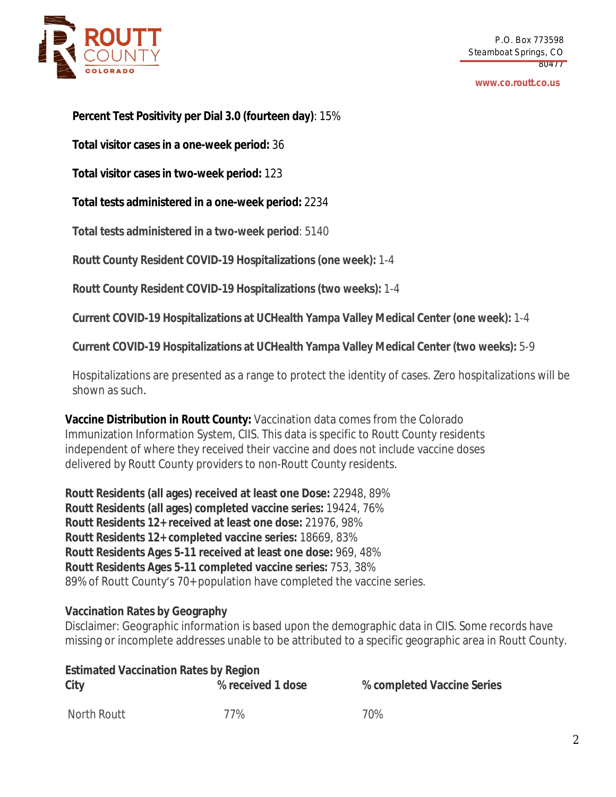

#### **www.co.routt.co.us**

**Percent Test Positivity per Dial 3.0 (fourteen day)**: 15%

**Total visitor cases in a one-week period:** 36

**Total visitor cases in two-week period:** 123

**Total tests administered in a one-week period:** 2234

**Total tests administered in a two-week period**: 5140

**Routt County Resident COVID-19 Hospitalizations (one week):** 1-4

**Routt County Resident COVID-19 Hospitalizations (two weeks):** 1-4

**Current COVID-19 Hospitalizations at UCHealth Yampa Valley Medical Center (one week):** 1-4

**Current COVID-19 Hospitalizations at UCHealth Yampa Valley Medical Center (two weeks):** 5-9

Hospitalizations are presented as a range to protect the identity of cases. Zero hospitalizations will be shown as such.

**Vaccine Distribution in Routt County:** Vaccination data comes from the Colorado Immunization Information System, CIIS. This data is specific to Routt County residents independent of where they received their vaccine and does not include vaccine doses delivered by Routt County providers to non-Routt County residents.

**Routt Residents (all ages) received at least one Dose:** 22948, 89% **Routt Residents (all ages) completed vaccine series:** 19424, 76% **Routt Residents 12+ received at least one dose:** 21976, 98% **Routt Residents 12+ completed vaccine series:** 18669, 83% **Routt Residents Ages 5-11 received at least one dose:** 969, 48% **Routt Residents Ages 5-11 completed vaccine series:** 753, 38% 89% of Routt County's 70+ population have completed the vaccine series.

## **Vaccination Rates by Geography**

Disclaimer: Geographic information is based upon the demographic data in CIIS. Some records have missing or incomplete addresses unable to be attributed to a specific geographic area in Routt County.

| <b>Estimated Vaccination Rates by Region</b> |                   |                            |  |
|----------------------------------------------|-------------------|----------------------------|--|
| City                                         | % received 1 dose | % completed Vaccine Series |  |
| North Routt                                  | 77%               | 70%                        |  |